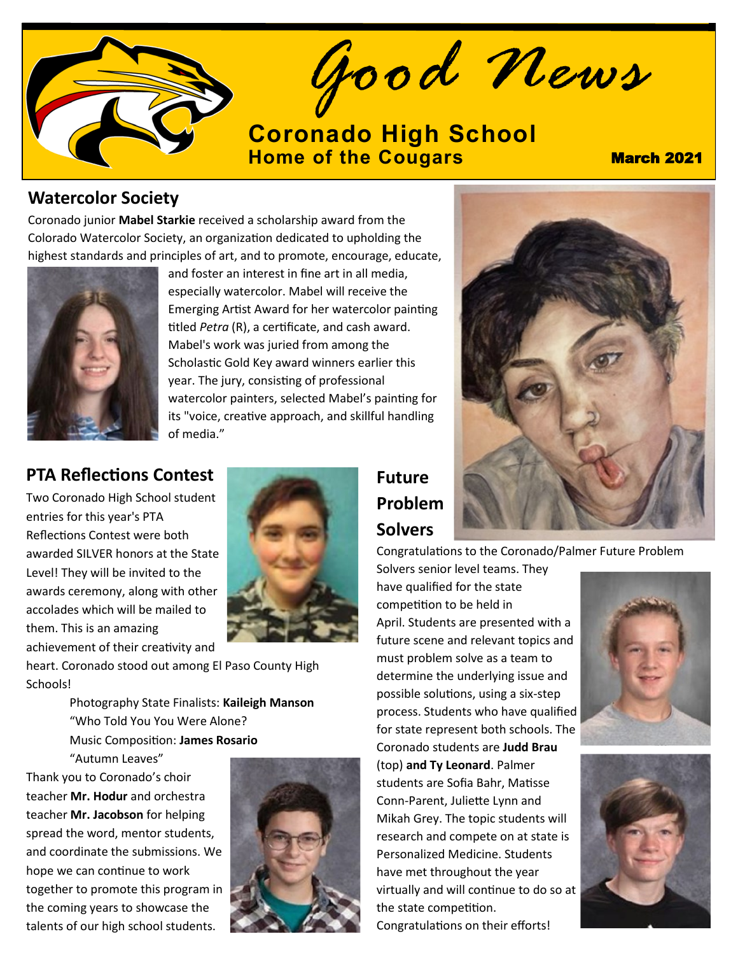

*Good News*

# **[Coronado High School](https://www.d11.org/Coronado) [Home of the Cougars](https://www.d11.org/Coronado) March 2021**

#### **Watercolor Society**

Coronado junior **Mabel Starkie** received a scholarship award from the Colorado Watercolor Society, an organization dedicated to upholding the highest standards and principles of art, and to promote, encourage, educate,



and foster an interest in fine art in all media, especially watercolor. Mabel will receive the Emerging Artist Award for her watercolor painting titled *Petra* (R), a certificate, and cash award. Mabel's work was juried from among the Scholastic Gold Key award winners earlier this year. The jury, consisting of professional watercolor painters, selected Mabel's painting for its "voice, creative approach, and skillful handling of media."

## **PTA Reflections Contest**

Two Coronado High School student entries for this year's PTA Reflections Contest were both awarded SILVER honors at the State Level! They will be invited to the awards ceremony, along with other accolades which will be mailed to them. This is an amazing achievement of their creativity and



heart. Coronado stood out among El Paso County High Schools!

> Photography State Finalists: **Kaileigh Manson** "Who Told You You Were Alone? Music Composition: **James Rosario**

"Autumn Leaves" Thank you to Coronado's choir teacher **Mr. Hodur** and orchestra teacher **Mr. Jacobson** for helping spread the word, mentor students, and coordinate the submissions. We hope we can continue to work together to promote this program in the coming years to showcase the talents of our high school students.



## **Future Problem Solvers**

Congratulations to the Coronado/Palmer Future Problem

Solvers senior level teams. They have qualified for the state competition to be held in April. Students are presented with a future scene and relevant topics and must problem solve as a team to determine the underlying issue and possible solutions, using a six-step process. Students who have qualified for state represent both schools. The Coronado students are **Judd Brau**  (top) **and Ty Leonard**. Palmer students are Sofia Bahr, Matisse Conn-Parent, Juliette Lynn and Mikah Grey. The topic students will research and compete on at state is Personalized Medicine. Students have met throughout the year virtually and will continue to do so at the state competition. Congratulations on their efforts!



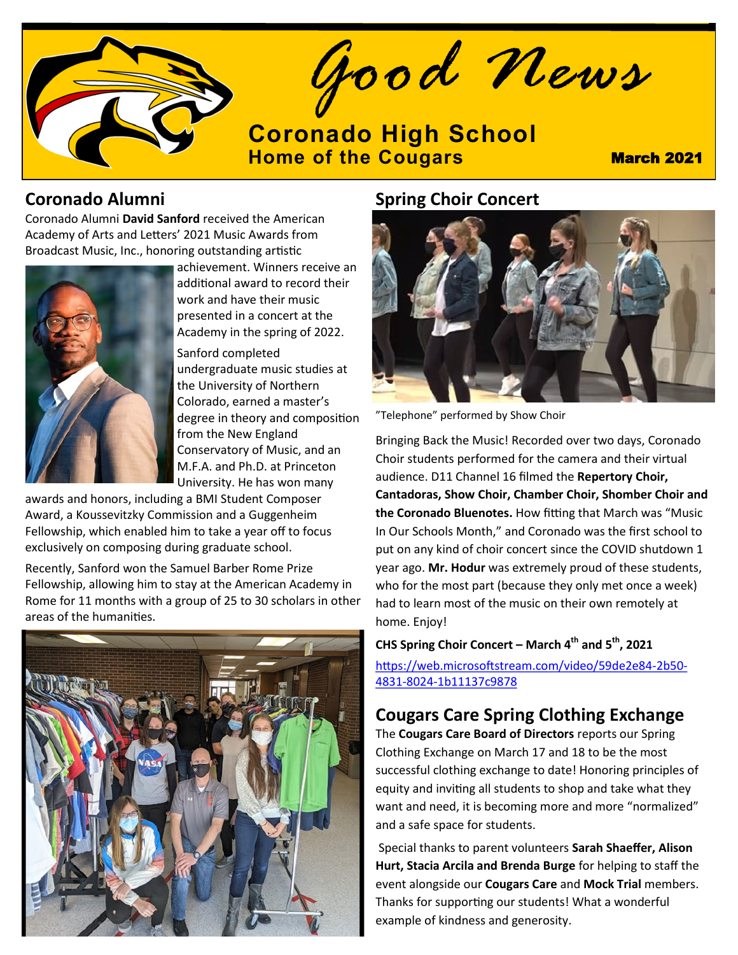

*Good News*

**[Coronado High School](https://www.d11.org/Coronado) [Home of the Cougars](https://www.d11.org/Coronado) March 2021** 

#### **Coronado Alumni**

Coronado Alumni **David Sanford** received the American Academy of Arts and Letters' 2021 Music Awards from Broadcast Music, Inc., honoring outstanding artistic



achievement. Winners receive an additional award to record their work and have their music presented in a concert at the Academy in the spring of 2022.

Sanford completed undergraduate music studies at the University of Northern Colorado, earned a master's degree in theory and composition from the New England Conservatory of Music, and an M.F.A. and Ph.D. at Princeton University. He has won many

awards and honors, including a BMI Student Composer Award, a Koussevitzky Commission and a Guggenheim Fellowship, which enabled him to take a year off to focus exclusively on composing during graduate school.

Recently, Sanford won the Samuel Barber Rome Prize Fellowship, allowing him to stay at the American Academy in Rome for 11 months with a group of 25 to 30 scholars in other areas of the humanities.



## **Spring Choir Concert**



"Telephone" performed by Show Choir

Bringing Back the Music! Recorded over two days, Coronado Choir students performed for the camera and their virtual audience. D11 Channel 16 filmed the **Repertory Choir, Cantadoras, Show Choir, Chamber Choir, Shomber Choir and the Coronado Bluenotes.** How fitting that March was "Music In Our Schools Month," and Coronado was the first school to put on any kind of choir concert since the COVID shutdown 1 year ago. **Mr. Hodur** was extremely proud of these students, who for the most part (because they only met once a week) had to learn most of the music on their own remotely at home. Enjoy!

#### **CHS Spring Choir Concert – March 4th and 5th, 2021**

[https://web.microsoftstream.com/video/59de2e84](https://web.microsoftstream.com/video/59de2e84-2b50-4831-8024-1b11137c9878)-2b50- 4831-8024-[1b11137c9878](https://web.microsoftstream.com/video/59de2e84-2b50-4831-8024-1b11137c9878)

#### **Cougars Care Spring Clothing Exchange**

The **Cougars Care Board of Directors** reports our Spring Clothing Exchange on March 17 and 18 to be the most successful clothing exchange to date! Honoring principles of equity and inviting all students to shop and take what they want and need, it is becoming more and more "normalized" and a safe space for students.

Special thanks to parent volunteers **Sarah Shaeffer, Alison Hurt, Stacia Arcila and Brenda Burge** for helping to staff the event alongside our **Cougars Care** and **Mock Trial** members. Thanks for supporting our students! What a wonderful example of kindness and generosity.